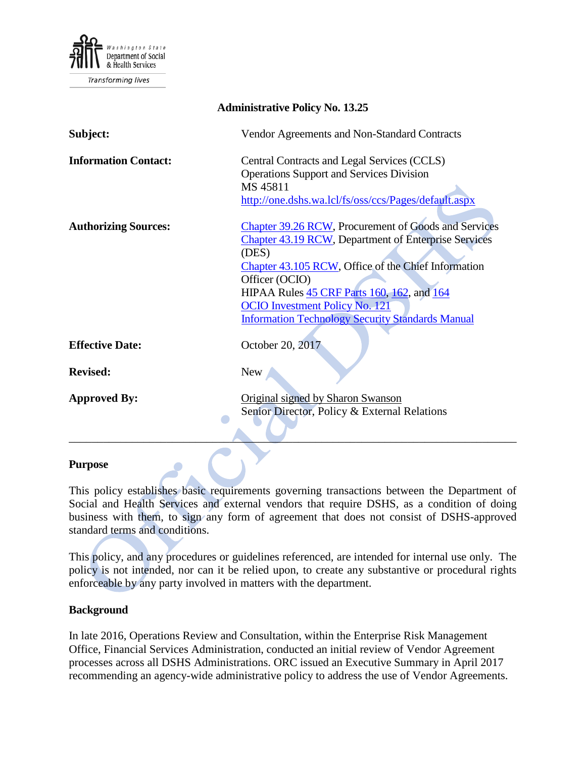

Transforming lives

| <b>Administrative Policy No. 13.25</b> |                                                                                                |
|----------------------------------------|------------------------------------------------------------------------------------------------|
| Subject:                               | Vendor Agreements and Non-Standard Contracts                                                   |
| <b>Information Contact:</b>            | Central Contracts and Legal Services (CCLS)<br><b>Operations Support and Services Division</b> |
|                                        | MS 45811                                                                                       |
|                                        | http://one.dshs.wa.lcl/fs/oss/ccs/Pages/default.aspx                                           |
|                                        |                                                                                                |
| <b>Authorizing Sources:</b>            | <b>Chapter 39.26 RCW, Procurement of Goods and Services</b>                                    |
|                                        | <b>Chapter 43.19 RCW, Department of Enterprise Services</b>                                    |
|                                        | (DES)                                                                                          |
|                                        | Chapter 43.105 RCW, Office of the Chief Information                                            |
|                                        | Officer (OCIO)                                                                                 |
|                                        | HIPAA Rules 45 CRF Parts 160, 162, and 164                                                     |
|                                        | <b>OCIO</b> Investment Policy No. 121                                                          |
|                                        | <b>Information Technology Security Standards Manual</b>                                        |
|                                        |                                                                                                |
| <b>Effective Date:</b>                 | October 20, 2017                                                                               |
|                                        |                                                                                                |
| <b>Revised:</b>                        | <b>New</b>                                                                                     |
|                                        |                                                                                                |
| <b>Approved By:</b>                    | Original signed by Sharon Swanson                                                              |
|                                        | Senior Director, Policy & External Relations                                                   |
|                                        |                                                                                                |

#### **Purpose**

This policy establishes basic requirements governing transactions between the Department of Social and Health Services and external vendors that require DSHS, as a condition of doing business with them, to sign any form of agreement that does not consist of DSHS-approved standard terms and conditions.

This policy, and any procedures or guidelines referenced, are intended for internal use only. The policy is not intended, nor can it be relied upon, to create any substantive or procedural rights enforceable by any party involved in matters with the department.

#### **Background**

In late 2016, Operations Review and Consultation, within the Enterprise Risk Management Office, Financial Services Administration, conducted an initial review of Vendor Agreement processes across all DSHS Administrations. ORC issued an Executive Summary in April 2017 recommending an agency-wide administrative policy to address the use of Vendor Agreements.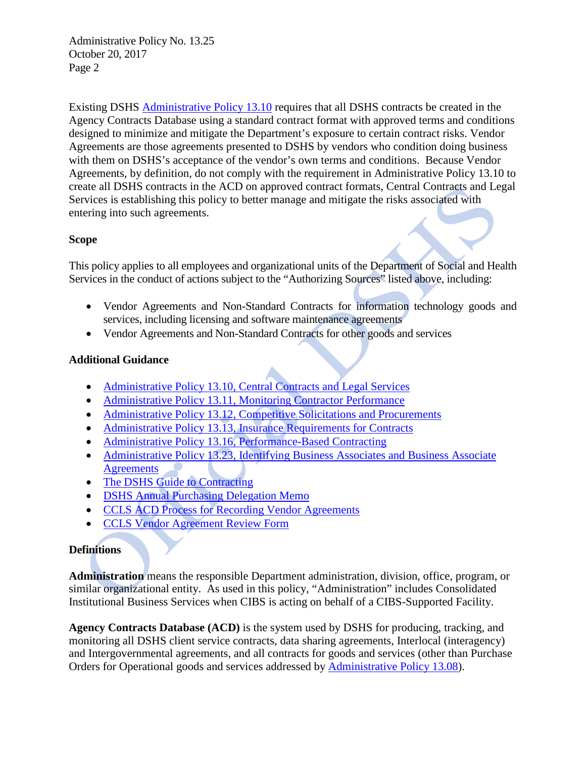Existing DSHS [Administrative Policy 13.10](http://one.dshs.wa.lcl/Policies/Administrative/DSHS-AP-13-10.pdf) requires that all DSHS contracts be created in the Agency Contracts Database using a standard contract format with approved terms and conditions designed to minimize and mitigate the Department's exposure to certain contract risks. Vendor Agreements are those agreements presented to DSHS by vendors who condition doing business with them on DSHS's acceptance of the vendor's own terms and conditions. Because Vendor Agreements, by definition, do not comply with the requirement in Administrative Policy 13.10 to create all DSHS contracts in the ACD on approved contract formats, Central Contracts and Legal Services is establishing this policy to better manage and mitigate the risks associated with entering into such agreements.

## **Scope**

This policy applies to all employees and organizational units of the Department of Social and Health Services in the conduct of actions subject to the "Authorizing Sources" listed above, including:

- Vendor Agreements and Non-Standard Contracts for information technology goods and services, including licensing and software maintenance agreements
- Vendor Agreements and Non-Standard Contracts for other goods and services

## **Additional Guidance**

- [Administrative Policy 13.10, Central Contracts and Legal Services](http://one.dshs.wa.lcl/Policies/Administrative/DSHS-AP-13-10.pdf)
- [Administrative Policy 13.11, Monitoring Contractor Performance](http://one.dshs.wa.lcl/Policies/Administrative/DSHS-AP-13-11.pdf)
- [Administrative Policy 13.12, Competitive Solicitations and Procurements](http://one.dshs.wa.lcl/Policies/Administrative/DSHS-AP-13-12.pdf)
- [Administrative Policy 13.13, Insurance Requirements for Contracts](http://one.dshs.wa.lcl/Policies/Administrative/DSHS-AP-13-13.pdf)
- [Administrative Policy 13.16, Performance-Based Contracting](http://one.dshs.wa.lcl/Policies/Administrative/DSHS-AP-13-16.pdf)
- [Administrative Policy 13.23, Identifying Business Associates](http://one.dshs.wa.lcl/Policies/Administrative/DSHS-AP-13-23.pdf) and Business Associate **[Agreements](http://one.dshs.wa.lcl/Policies/Administrative/DSHS-AP-13-23.pdf)**
- [The DSHS Guide to Contracting](http://one.dshs.wa.lcl/FS/OSS/CCS/Pages/Guide.aspx)
- **[DSHS Annual Purchasing Delegation Memo](http://one.dshs.wa.lcl/FS/OSS/CPU/Purchasing/Documents/Annual.Delegation.Memo.pdf)**
- [CCLS ACD Process for Recording Vendor Agreements](http://one.dshs.wa.lcl/FS/OSS/CCS/ACD/Documents/OutsideVendorAgreementProcess_ACD_5-31-2016.docx)
- [CCLS Vendor Agreement Review Form](http://one.dshs.wa.lcl/FS/OSS/CCS/Documents/CCLS%20Vendor%20Agreement%20Form.docx)

## **Definitions**

**Administration** means the responsible Department administration, division, office, program, or similar organizational entity. As used in this policy, "Administration" includes Consolidated Institutional Business Services when CIBS is acting on behalf of a CIBS-Supported Facility.

**Agency Contracts Database (ACD)** is the system used by DSHS for producing, tracking, and monitoring all DSHS client service contracts, data sharing agreements, Interlocal (interagency) and Intergovernmental agreements, and all contracts for goods and services (other than Purchase Orders for Operational goods and services addressed by [Administrative Policy 13.08\)](http://one.dshs.wa.lcl/Policies/Administrative/DSHS-AP-13-08.pdf).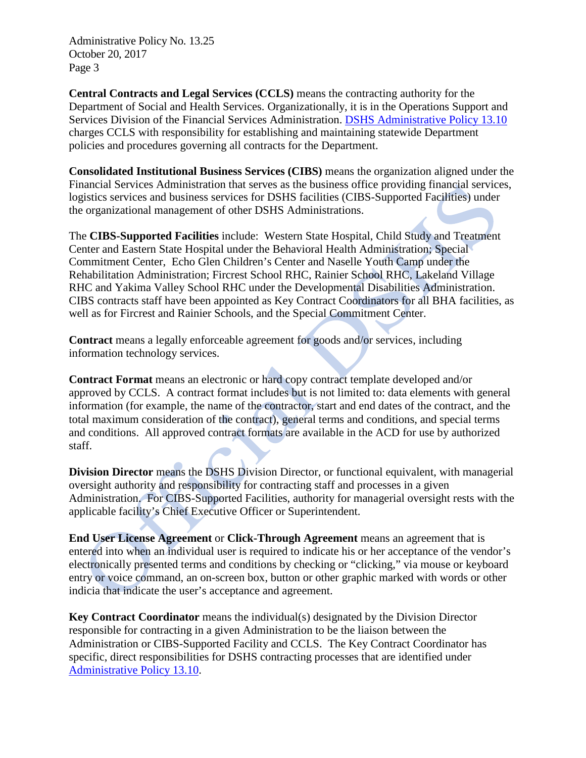**Central Contracts and Legal Services (CCLS)** means the contracting authority for the Department of Social and Health Services. Organizationally, it is in the Operations Support and Services Division of the Financial Services Administration. [DSHS Administrative Policy 13.10](http://one.dshs.wa.lcl/Policies/Administrative/DSHS-AP-13-10.pdf) charges CCLS with responsibility for establishing and maintaining statewide Department policies and procedures governing all contracts for the Department.

**Consolidated Institutional Business Services (CIBS)** means the organization aligned under the Financial Services Administration that serves as the business office providing financial services, logistics services and business services for DSHS facilities (CIBS-Supported Facilities) under the organizational management of other DSHS Administrations.

The **CIBS-Supported Facilities** include: Western State Hospital, Child Study and Treatment Center and Eastern State Hospital under the Behavioral Health Administration; Special Commitment Center, Echo Glen Children's Center and Naselle Youth Camp under the Rehabilitation Administration; Fircrest School RHC, Rainier School RHC, Lakeland Village RHC and Yakima Valley School RHC under the Developmental Disabilities Administration. CIBS contracts staff have been appointed as Key Contract Coordinators for all BHA facilities, as well as for Fircrest and Rainier Schools, and the Special Commitment Center.

**Contract** means a legally enforceable agreement for goods and/or services, including information technology services.

**Contract Format** means an electronic or hard copy contract template developed and/or approved by CCLS. A contract format includes but is not limited to: data elements with general information (for example, the name of the contractor, start and end dates of the contract, and the total maximum consideration of the contract), general terms and conditions, and special terms and conditions. All approved contract formats are available in the ACD for use by authorized staff.

**Division Director** means the DSHS Division Director, or functional equivalent, with managerial oversight authority and responsibility for contracting staff and processes in a given Administration. For CIBS-Supported Facilities, authority for managerial oversight rests with the applicable facility's Chief Executive Officer or Superintendent.

**End User License Agreement** or **Click-Through Agreement** means an agreement that is entered into when an individual user is required to indicate his or her acceptance of the vendor's electronically presented terms and conditions by checking or "clicking," via mouse or keyboard entry or voice command, an on-screen box, button or other graphic marked with words or other indicia that indicate the user's acceptance and agreement.

**Key Contract Coordinator** means the individual(s) designated by the Division Director responsible for contracting in a given Administration to be the liaison between the Administration or CIBS-Supported Facility and CCLS. The Key Contract Coordinator has specific, direct responsibilities for DSHS contracting processes that are identified under [Administrative Policy 13.10.](http://one.dshs.wa.lcl/Policies/Administrative/DSHS-AP-13-10.pdf)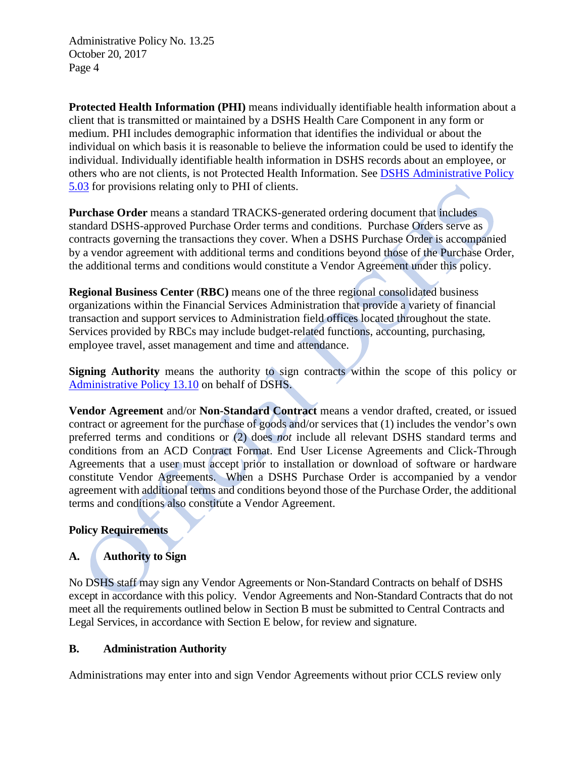**Protected Health Information (PHI)** means individually identifiable health information about a client that is transmitted or maintained by a DSHS Health Care Component in any form or medium. PHI includes demographic information that identifies the individual or about the individual on which basis it is reasonable to believe the information could be used to identify the individual. Individually identifiable health information in DSHS records about an employee, or others who are not clients, is not Protected Health Information. See [DSHS Administrative Policy](http://one.dshs.wa.lcl/Policies/Administrative/DSHS-AP-05-03.pdf)  [5.03](http://one.dshs.wa.lcl/Policies/Administrative/DSHS-AP-05-03.pdf) for provisions relating only to PHI of clients.

**Purchase Order** means a standard TRACKS-generated ordering document that includes standard DSHS-approved Purchase Order terms and conditions. Purchase Orders serve as contracts governing the transactions they cover. When a DSHS Purchase Order is accompanied by a vendor agreement with additional terms and conditions beyond those of the Purchase Order, the additional terms and conditions would constitute a Vendor Agreement under this policy.

**Regional Business Center** (**RBC)** means one of the three regional consolidated business organizations within the Financial Services Administration that provide a variety of financial transaction and support services to Administration field offices located throughout the state. Services provided by RBCs may include budget-related functions, accounting, purchasing, employee travel, asset management and time and attendance.

**Signing Authority** means the authority to sign contracts within the scope of this policy or [Administrative Policy 13.10](http://one.dshs.wa.lcl/Policies/Administrative/DSHS-AP-13-10.pdf) on behalf of DSHS.

**Vendor Agreement** and/or **Non-Standard Contract** means a vendor drafted, created, or issued contract or agreement for the purchase of goods and/or services that (1) includes the vendor's own preferred terms and conditions or (2) does *not* include all relevant DSHS standard terms and conditions from an ACD Contract Format. End User License Agreements and Click-Through Agreements that a user must accept prior to installation or download of software or hardware constitute Vendor Agreements. When a DSHS Purchase Order is accompanied by a vendor agreement with additional terms and conditions beyond those of the Purchase Order, the additional terms and conditions also constitute a Vendor Agreement.

## **Policy Requirements**

# **A. Authority to Sign**

No DSHS staff may sign any Vendor Agreements or Non-Standard Contracts on behalf of DSHS except in accordance with this policy. Vendor Agreements and Non-Standard Contracts that do not meet all the requirements outlined below in Section B must be submitted to Central Contracts and Legal Services, in accordance with Section E below, for review and signature.

### **B. Administration Authority**

Administrations may enter into and sign Vendor Agreements without prior CCLS review only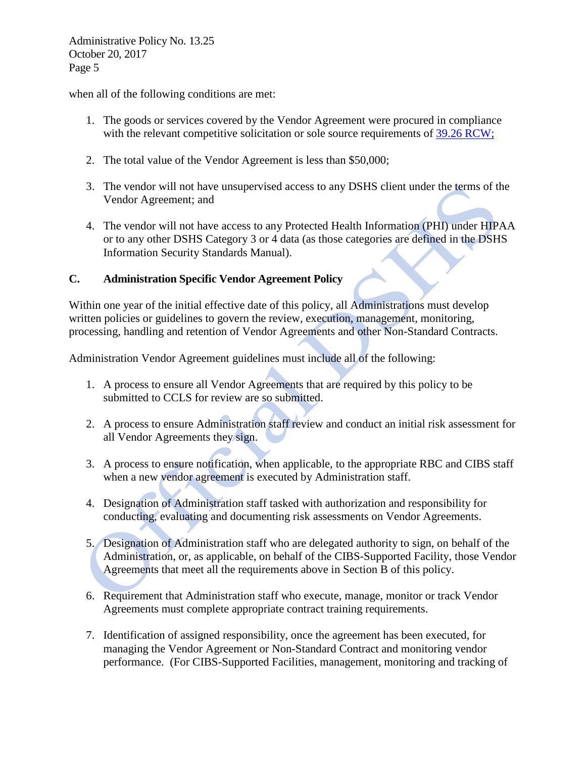when all of the following conditions are met:

- 1. The goods or services covered by the Vendor Agreement were procured in compliance with the relevant competitive solicitation or sole source requirements of [39.26 RCW;](http://app.leg.wa.gov/RCW/default.aspx?cite=39.26)
- 2. The total value of the Vendor Agreement is less than \$50,000;
- 3. The vendor will not have unsupervised access to any DSHS client under the terms of the Vendor Agreement; and
- 4. The vendor will not have access to any Protected Health Information (PHI) under HIPAA or to any other DSHS Category 3 or 4 data (as those categories are defined in the DSHS Information Security Standards Manual).

## **C. Administration Specific Vendor Agreement Policy**

Within one year of the initial effective date of this policy, all Administrations must develop written policies or guidelines to govern the review, execution, management, monitoring, processing, handling and retention of Vendor Agreements and other Non-Standard Contracts.

Administration Vendor Agreement guidelines must include all of the following:

- 1. A process to ensure all Vendor Agreements that are required by this policy to be submitted to CCLS for review are so submitted.
- 2. A process to ensure Administration staff review and conduct an initial risk assessment for all Vendor Agreements they sign.
- 3. A process to ensure notification, when applicable, to the appropriate RBC and CIBS staff when a new vendor agreement is executed by Administration staff.
- 4. Designation of Administration staff tasked with authorization and responsibility for conducting, evaluating and documenting risk assessments on Vendor Agreements.
- 5. Designation of Administration staff who are delegated authority to sign, on behalf of the Administration, or, as applicable, on behalf of the CIBS-Supported Facility, those Vendor Agreements that meet all the requirements above in Section B of this policy.
- 6. Requirement that Administration staff who execute, manage, monitor or track Vendor Agreements must complete appropriate contract training requirements.
- 7. Identification of assigned responsibility, once the agreement has been executed, for managing the Vendor Agreement or Non-Standard Contract and monitoring vendor performance. (For CIBS-Supported Facilities, management, monitoring and tracking of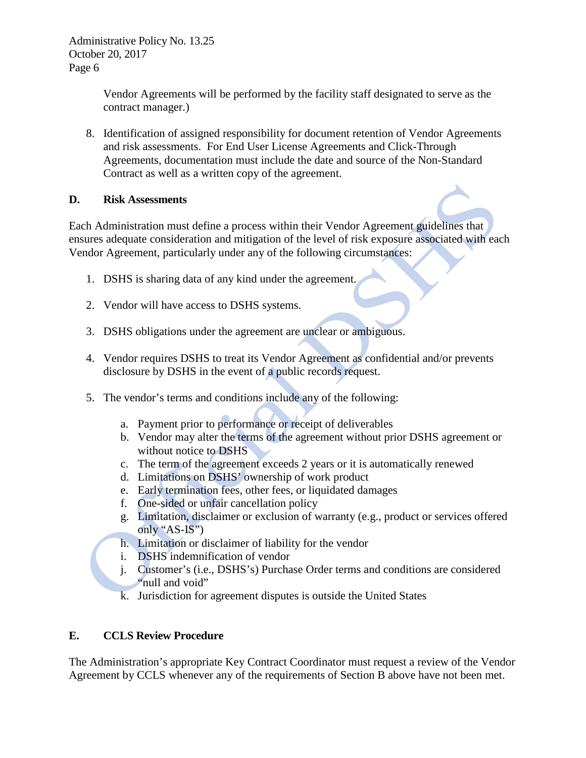> Vendor Agreements will be performed by the facility staff designated to serve as the contract manager.)

8. Identification of assigned responsibility for document retention of Vendor Agreements and risk assessments. For End User License Agreements and Click-Through Agreements, documentation must include the date and source of the Non-Standard Contract as well as a written copy of the agreement.

## **D. Risk Assessments**

Each Administration must define a process within their Vendor Agreement guidelines that ensures adequate consideration and mitigation of the level of risk exposure associated with each Vendor Agreement, particularly under any of the following circumstances:

- 1. DSHS is sharing data of any kind under the agreement.
- 2. Vendor will have access to DSHS systems.
- 3. DSHS obligations under the agreement are unclear or ambiguous.
- 4. Vendor requires DSHS to treat its Vendor Agreement as confidential and/or prevents disclosure by DSHS in the event of a public records request.
- 5. The vendor's terms and conditions include any of the following:
	- a. Payment prior to performance or receipt of deliverables
	- b. Vendor may alter the terms of the agreement without prior DSHS agreement or without notice to DSHS
	- c. The term of the agreement exceeds 2 years or it is automatically renewed
	- d. Limitations on DSHS' ownership of work product
	- e. Early termination fees, other fees, or liquidated damages
	- f. One-sided or unfair cancellation policy
	- g. Limitation, disclaimer or exclusion of warranty (e.g., product or services offered only "AS-IS")
	- h. Limitation or disclaimer of liability for the vendor
	- i. DSHS indemnification of vendor
	- j. Customer's (i.e., DSHS's) Purchase Order terms and conditions are considered "null and void"
	- k. Jurisdiction for agreement disputes is outside the United States

## **E. CCLS Review Procedure**

The Administration's appropriate Key Contract Coordinator must request a review of the Vendor Agreement by CCLS whenever any of the requirements of Section B above have not been met.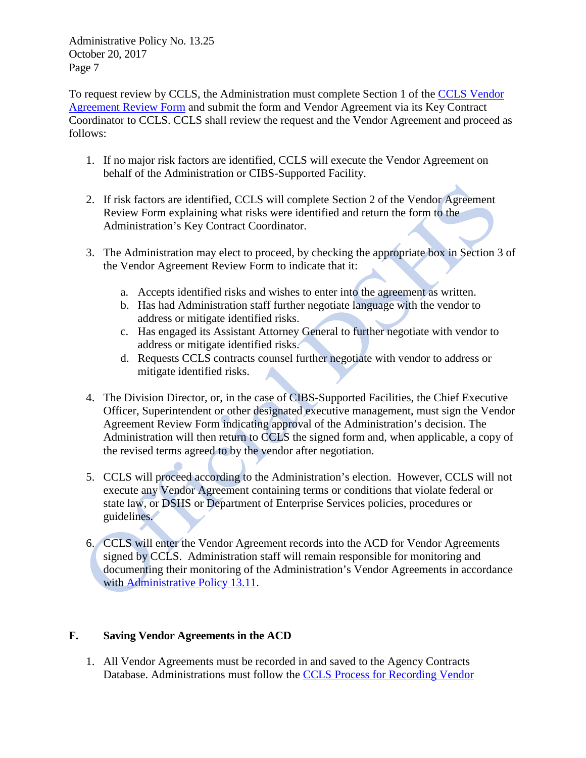To request review by CCLS, the Administration must complete Section 1 of the [CCLS Vendor](http://one.dshs.wa.lcl/FS/OSS/CCS/Documents/CCLS%20Vendor%20Agreement%20Form.docx)  [Agreement Review Form](http://one.dshs.wa.lcl/FS/OSS/CCS/Documents/CCLS%20Vendor%20Agreement%20Form.docx) and submit the form and Vendor Agreement via its Key Contract Coordinator to CCLS. CCLS shall review the request and the Vendor Agreement and proceed as follows:

- 1. If no major risk factors are identified, CCLS will execute the Vendor Agreement on behalf of the Administration or CIBS-Supported Facility.
- 2. If risk factors are identified, CCLS will complete Section 2 of the Vendor Agreement Review Form explaining what risks were identified and return the form to the Administration's Key Contract Coordinator.
- 3. The Administration may elect to proceed, by checking the appropriate box in Section 3 of the Vendor Agreement Review Form to indicate that it:
	- a. Accepts identified risks and wishes to enter into the agreement as written.
	- b. Has had Administration staff further negotiate language with the vendor to address or mitigate identified risks.
	- c. Has engaged its Assistant Attorney General to further negotiate with vendor to address or mitigate identified risks.
	- d. Requests CCLS contracts counsel further negotiate with vendor to address or mitigate identified risks.
- 4. The Division Director, or, in the case of CIBS-Supported Facilities, the Chief Executive Officer, Superintendent or other designated executive management, must sign the Vendor Agreement Review Form indicating approval of the Administration's decision. The Administration will then return to CCLS the signed form and, when applicable, a copy of the revised terms agreed to by the vendor after negotiation.
- 5. CCLS will proceed according to the Administration's election. However, CCLS will not execute any Vendor Agreement containing terms or conditions that violate federal or state law, or DSHS or Department of Enterprise Services policies, procedures or guidelines.
- 6. CCLS will enter the Vendor Agreement records into the ACD for Vendor Agreements signed by CCLS. Administration staff will remain responsible for monitoring and documenting their monitoring of the Administration's Vendor Agreements in accordance with [Administrative Policy 13.11.](http://one.dshs.wa.lcl/Policies/Administrative/DSHS-AP-13-11.pdf)

# **F. Saving Vendor Agreements in the ACD**

1. All Vendor Agreements must be recorded in and saved to the Agency Contracts Database. Administrations must follow the [CCLS Process for Recording Vendor](http://one.dshs.wa.lcl/FS/OSS/CCS/ACD/Documents/OutsideVendorAgreementProcess_ACD_5-31-2016.docx)